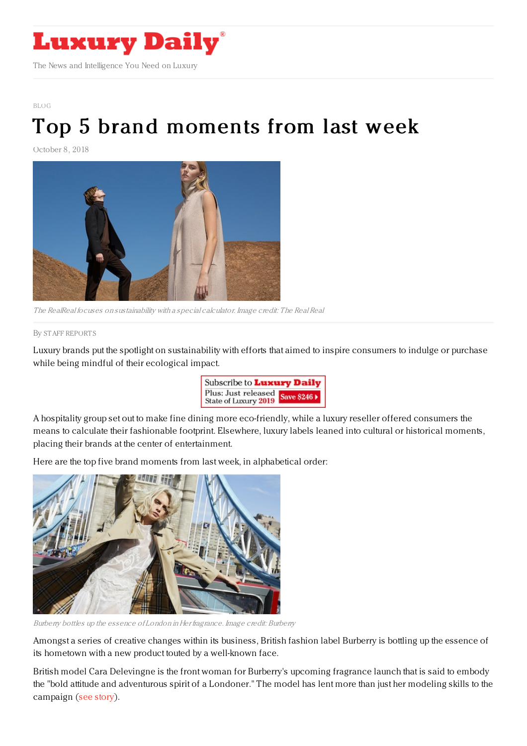

[BLOG](https://www.luxurydaily.com/category/opinion/blog/)

## Top 5 brand [moments](https://www.luxurydaily.com/top-5-brand-moments-from-last-week-196/) from last week

October 8, 2018



The RealReal focuses on sustainability with <sup>a</sup> special calculator. Image credit: The Real Real

## By STAFF [REPORT](file:///author/staff-reports) S

Luxury brands put the spotlight on sustainability with efforts that aimed to inspire consumers to indulge or purchase while being mindful of their ecological impact.



A hospitality group set out to make fine dining more eco-friendly, while a luxury reseller offered consumers the means to calculate their fashionable footprint. Elsewhere, luxury labels leaned into cultural or historical moments, placing their brands at the center of entertainment.

Here are the top five brand moments from last week, in alphabetical order:



Burberry bottles up the essence of London in Her fragrance. Image credit: Burberry

Amongst a series of creative changes within its business, British fashion label Burberry is bottling up the essence of its hometown with a new product touted by a well-known face.

British model Cara Delevingne is the front woman for Burberry's upcoming fragrance launch that is said to embody the "bold attitude and adventurous spirit of a Londoner." The model has lent more than just her modeling skills to the campaign (see [story](https://www.luxurydaily.com/burberry-flaunts-edgier-take-on-london-roots-amid-creative-transition/)).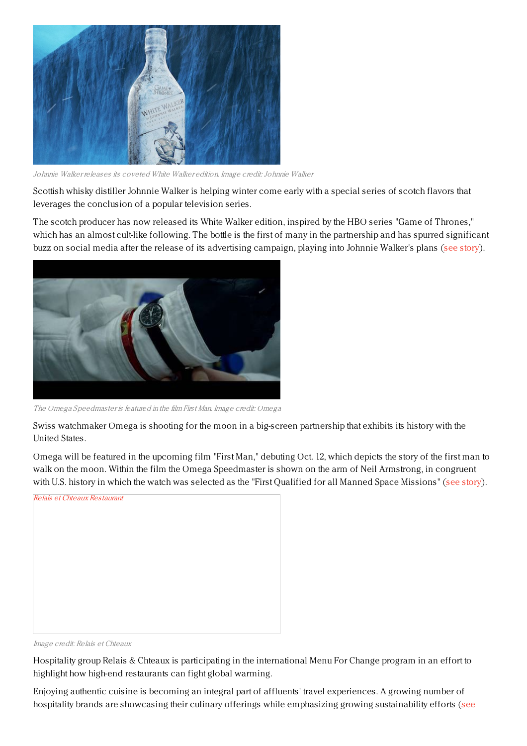

Johnnie Walker releases its coveted White Walker edition. Image credit:Johnnie Walker

Scottish whisky distiller Johnnie Walker is helping winter come early with a special series of scotch flavors that leverages the conclusion of a popular television series.

The scotch producer has now released its White Walker edition, inspired by the HBO series "Game of Thrones," which has an almost cult-like following. The bottle is the first of many in the partnership and has spurred significant buzz on social media after the release of its advertising campaign, playing into Johnnie Walker's plans (see [story](https://www.luxurydaily.com/johnnie-walker-taps-into-fan-frenzy-with-a-special-edition-series/)).



The Omega Speedmaster is featured in the film First Man. Image credit: Omega

Swiss watchmaker Omega is shooting for the moon in a big-screen partnership that exhibits its history with the United States.

Omega will be featured in the upcoming film "First Man," debuting Oct. 12, which depicts the story of the first man to walk on the moon. Within the film the Omega Speedmaster is shown on the arm of Neil Armstrong, in congruent with U.S. hi[story](https://www.luxurydaily.com/omegas-ties-to-us-history-represented-in-new-film/) in which the watch was selected as the "First Qualified for all Manned Space Missions" (see story).



Image credit: Relais et Chteaux

Hospitality group Relais & Chteaux is participating in the international Menu For Change program in an effort to highlight how high-end restaurants can fight global warming.

Enjoying authentic cuisine is becoming an integral part of affluents' travel experiences. A growing number of hospitality brands are showcasing their culinary offerings while emphasizing growing [sustainability](https://www.luxurydaily.com/relais-chateaux-serves-up-environmental-awareness-in-international-initiative/) efforts (see